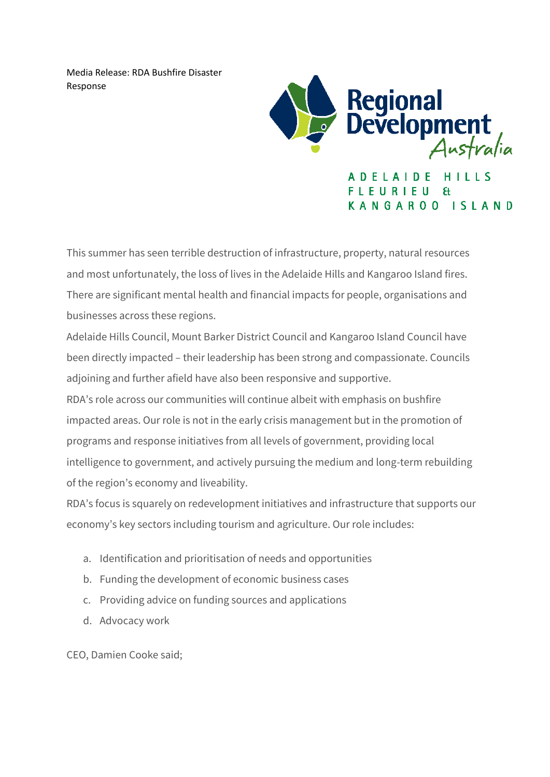Media Release: RDA Bushfire Disaster Response



ADELAIDE HILLS FLEURIEU  $H$ KANGAROO ISLAND

This summer has seen terrible destruction of infrastructure, property, natural resources and most unfortunately, the loss of lives in the Adelaide Hills and Kangaroo Island fires. There are significant mental health and financial impacts for people, organisations and businesses across these regions.

Adelaide Hills Council, Mount Barker District Council and Kangaroo Island Council have been directly impacted – their leadership has been strong and compassionate. Councils adjoining and further afield have also been responsive and supportive.

RDA's role across our communities will continue albeit with emphasis on bushfire impacted areas. Our role is not in the early crisis management but in the promotion of programs and response initiatives from all levels of government, providing local intelligence to government, and actively pursuing the medium and long-term rebuilding of the region's economy and liveability.

RDA's focus is squarely on redevelopment initiatives and infrastructure that supports our economy's key sectors including tourism and agriculture. Our role includes:

- a. Identification and prioritisation of needs and opportunities
- b. Funding the development of economic business cases
- c. Providing advice on funding sources and applications
- d. Advocacy work

CEO, Damien Cooke said;